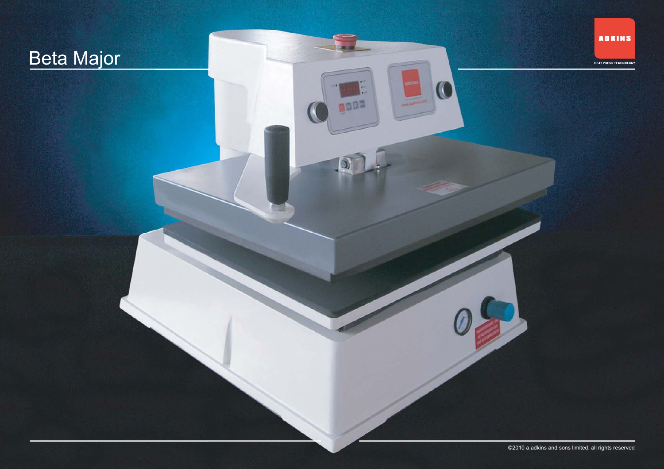